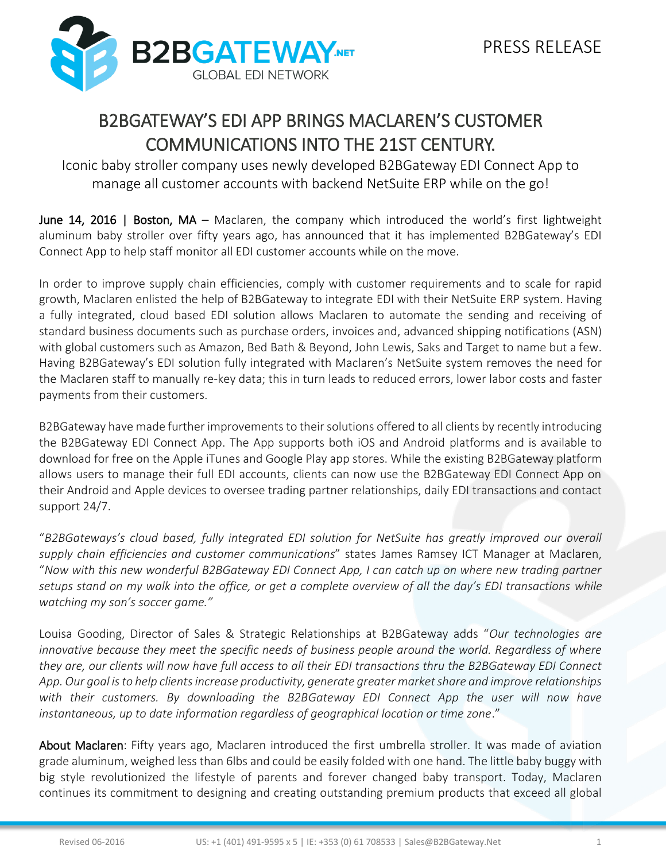## B2BGATEWAY'S EDI APP BRINGS MACLAREN'S CUSTOMER COMMUNICATIONS INTO THE 21ST CENTURY.

Iconic baby stroller company uses newly developed B2BGateway EDI Connect App to manage all customer accounts with backend NetSuite ERP while on the go!

June 14, 2016 | Boston, MA – Maclaren, the company which introduced the world's first lightweight aluminum baby stroller over fifty years ago, has announced that it has implemented B2BGateway's EDI Connect App to help staff monitor all EDI customer accounts while on the move.

In order to improve supply chain efficiencies, comply with customer requirements and to scale for rapid growth, Maclaren enlisted the help of B2BGateway to integrate EDI with their NetSuite ERP system. Having a fully integrated, cloud based EDI solution allows Maclaren to automate the sending and receiving of standard business documents such as purchase orders, invoices and, advanced shipping notifications (ASN) with global customers such as Amazon, Bed Bath & Beyond, John Lewis, Saks and Target to name but a few. Having B2BGateway's EDI solution fully integrated with Maclaren's NetSuite system removes the need for the Maclaren staff to manually re-key data; this in turn leads to reduced errors, lower labor costs and faster payments from their customers.

B2BGateway have made further improvements to their solutions offered to all clients by recently introducing the B2BGateway EDI Connect App. The App supports both iOS and Android platforms and is available to download for free on the Apple iTunes and Google Play app stores. While the existing B2BGateway platform allows users to manage their full EDI accounts, clients can now use the B2BGateway EDI Connect App on their Android and Apple devices to oversee trading partner relationships, daily EDI transactions and contact support 24/7.

"*B2BGateways's cloud based, fully integrated EDI solution for NetSuite has greatly improved our overall supply chain efficiencies and customer communications*" states James Ramsey ICT Manager at Maclaren, "*Now with this new wonderful B2BGateway EDI Connect App, I can catch up on where new trading partner setups stand on my walk into the office, or get a complete overview of all the day's EDI transactions while watching my son's soccer game."*

Louisa Gooding, Director of Sales & Strategic Relationships at B2BGateway adds "*Our technologies are innovative because they meet the specific needs of business people around the world. Regardless of where they are, our clients will now have full access to all their EDI transactions thru the B2BGateway EDI Connect App. Our goal is to help clients increase productivity, generate greater market share and improve relationships with their customers. By downloading the B2BGateway EDI Connect App the user will now have instantaneous, up to date information regardless of geographical location or time zone*."

About Maclaren: Fifty years ago, Maclaren introduced the first umbrella stroller. It was made of aviation grade aluminum, weighed less than 6lbs and could be easily folded with one hand. The little baby buggy with big style revolutionized the lifestyle of parents and forever changed baby transport. Today, Maclaren continues its commitment to designing and creating outstanding premium products that exceed all global